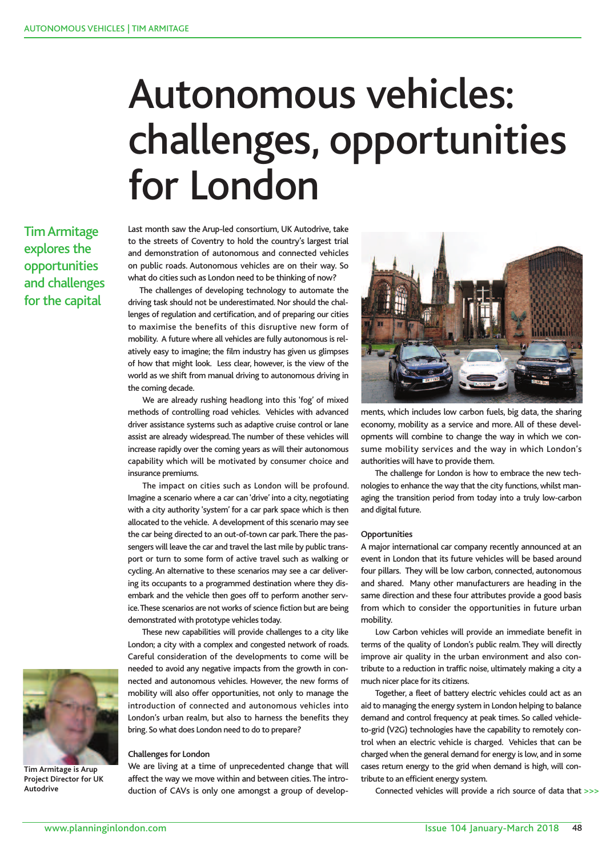## Autonomous vehicles: challenges, opportunities for London

TimArmitage explores the opportunities and challenges for the capital

Last month saw the Arup-led consortium, UK Autodrive, take to the streets of Coventry to hold the country's largest trial and demonstration of autonomous and connected vehicles on public roads. Autonomous vehicles are on their way. So what do cities such as London need to be thinking of now?

The challenges of developing technology to automate the driving task should not be underestimated. Nor should the challenges of regulation and certification, and of preparing our cities to maximise the benefits of this disruptive new form of mobility. A future where all vehicles are fully autonomous is relatively easy to imagine; the film industry has given us glimpses of how that might look. Less clear, however, is the view of the world as we shift from manual driving to autonomous driving in the coming decade.

We are already rushing headlong into this 'fog' of mixed methods of controlling road vehicles. Vehicles with advanced driver assistance systems such as adaptive cruise control or lane assist are already widespread. The number of these vehicles will increase rapidly over the coming years as will their autonomous capability which will be motivated by consumer choice and insurance premiums.

The impact on cities such as London will be profound. Imagine a scenario where a car can 'drive' into a city, negotiating with a city authority 'system' for a car park space which is then allocated to the vehicle. A development of this scenario may see the car being directed to an out-of-town car park.There the passengers will leave the car and travel the last mile by public transport or turn to some form of active travel such as walking or cycling.An alternative to these scenarios may see a car delivering its occupants to a programmed destination where they disembark and the vehicle then goes off to perform another service.These scenarios are not works of science fiction but are being demonstrated with prototype vehicles today.

These new capabilities will provide challenges to a city like London; a city with a complex and congested network of roads. Careful consideration of the developments to come will be needed to avoid any negative impacts from the growth in connected and autonomous vehicles. However, the new forms of mobility will also offer opportunities, not only to manage the introduction of connected and autonomous vehicles into London's urban realm, but also to harness the benefits they bring. So what does London need to do to prepare?

## **Challenges for London**

**Tim Armitage is Arup Project Director for UK Autodrive**

We are living at a time of unprecedented change that will affect the way we move within and between cities.The introduction of CAVs is only one amongst a group of develop-



ments, which includes low carbon fuels, big data, the sharing economy, mobility as a service and more. All of these developments will combine to change the way in which we consume mobility services and the way in which London's authorities will have to provide them.

The challenge for London is how to embrace the new technologies to enhance the way that the city functions, whilst managing the transition period from today into a truly low-carbon and digital future.

## **Opportunities**

A major international car company recently announced at an event in London that its future vehicles will be based around four pillars. They will be low carbon, connected, autonomous and shared. Many other manufacturers are heading in the same direction and these four attributes provide a good basis from which to consider the opportunities in future urban mobility.

Low Carbon vehicles will provide an immediate benefit in terms of the quality of London's public realm. They will directly improve air quality in the urban environment and also contribute to a reduction in traffic noise, ultimately making a city a much nicer place for its citizens.

Together, a fleet of battery electric vehicles could act as an aid to managing the energy system in London helping to balance demand and control frequency at peak times. So called vehicleto-grid (V2G) technologies have the capability to remotely control when an electric vehicle is charged. Vehicles that can be charged when the general demand for energy is low, and in some cases return energy to the grid when demand is high, will contribute to an efficient energy system.

Connected vehicles will provide a rich source of data that >>>